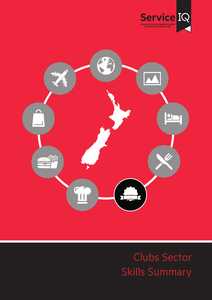



# Clubs Sector Skills Summary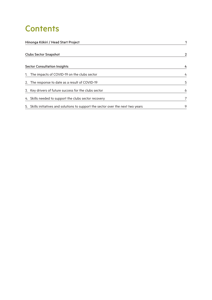## **Contents**

| Hinonga Kōkiri / Head Start Project                                               |   |
|-----------------------------------------------------------------------------------|---|
| <b>Clubs Sector Snapshot</b>                                                      | 2 |
| <b>Sector Consultation Insights</b>                                               |   |
| 1. The impacts of COVID-19 on the clubs sector                                    | 4 |
| 2. The response to date as a result of COVID-19                                   | 5 |
| 3. Key drivers of future success for the clubs sector                             | 6 |
| 4. Skills needed to support the clubs sector recovery                             |   |
| 5. Skills initiatives and solutions to support the sector over the next two years | 9 |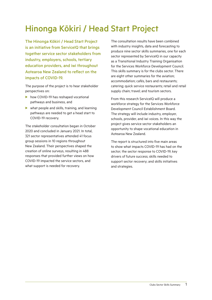## Hinonga Kōkiri / Head Start Project

The Hinonga Kōkiri / Head Start Project is an initiative from ServiceIQ that brings together service sector stakeholders from industry, employers, schools, tertiary education providers, and iwi throughout Aotearoa New Zealand to reflect on the impacts of COVID-19.

The purpose of the project is to hear stakeholder perspectives on:

- $\triangleright$  how COVID-19 has reshaped vocational pathways and business, and
- $\blacktriangleright$  what people and skills, training, and learning pathways are needed to get a head start to COVID-19 recovery.

The stakeholder consultation began in October 2020 and concluded in January 2021. In total, 321 sector representatives attended 41 focus group sessions in 10 regions throughout New Zealand. Their perspectives shaped the creation of online surveys, resulting in 488 responses that provided further views on how COVID-19 impacted the service sectors, and what support is needed for recovery.

The consultation results have been combined with industry insights, data and forecasting to produce nine sector skills summaries, one for each sector represented by ServiceIQ in our capacity as a Transitional Industry Training Organisation for the Services Workforce Development Council. This skills summary is for the clubs sector. There are eight other summaries for the aviation; accommodation; cafés, bars and restaurants; catering; quick service restaurants; retail and retail supply chain; travel; and tourism sectors.

From this research ServiceIQ will produce a workforce strategy for the Services Workforce Development Council Establishment Board. The strategy will include industry, employer, schools, provider, and iwi voices. In this way the project gives service sector stakeholders an opportunity to shape vocational education in Aotearoa New Zealand.

The report is structured into five main areas to show what impacts COVID-19 has had on the sector; the sector response to COVID-19; key drivers of future success; skills needed to support sector recovery; and skills initiatives and strategies.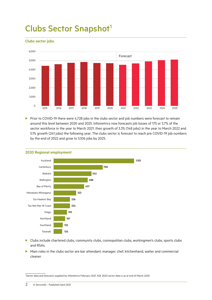## Clubs Sector Snapshot<sup>1</sup>

#### **Clubs sector jobs**



Prior to COVID-19 there were 4,728 jobs in the clubs sector and job numbers were forecast to remain around this level between 2020 and 2025. Infometrics now forecasts job losses of 175 or 3.7% of the sector workforce in the year to March 2021, then growth of 3.3% (148 jobs) in the year to March 2022 and 5.1% growth (241 jobs) the following year. The clubs sector is forecast to reach pre COVID-19 job numbers by the end of 2022 and grow to 5,106 jobs by 2025.



#### **2020 Regional employment**

- **D** Clubs include chartered clubs, community clubs, cosmopolitan clubs, workingmen's clubs, sports clubs and RSAs.
- Main roles in the clubs sector are bar attendant, manager, chef, kitchenhand, waiter and commercial cleaner.

1 Sector data and forecasts supplied by Infometrics February 2021. N.B. 2020 sector data is as at end of March 2020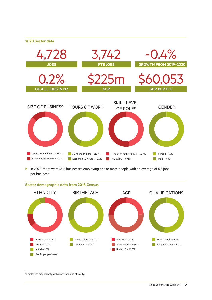#### **2020 Sector data**



In 2020 there were 405 businesses employing one or more people with an average of 6.7 jobs per business.



### **Sector demographic data from 2018 Census**

2 Employees may identify with more than one ethnicity.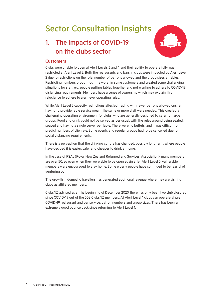## Sector Consultation Insights

### 1. The impacts of COVID-19 on the clubs sector



### **Customers**

Clubs were unable to open at Alert Levels 3 and 4 and their ability to operate fully was restricted at Alert Level 2. Both the restaurants and bars in clubs were impacted by Alert Level 2 due to restrictions on the total number of patrons allowed and the group sizes at tables. Restricting numbers brought out the worst in some customers and created some challenging situations for staff, e.g. people putting tables together and not wanting to adhere to COVID-19 distancing requirements. Members have a sense of ownership which may explain this reluctance to adhere to alert level operating rules.

While Alert Level 2 capacity restrictions affected trading with fewer patrons allowed onsite, having to provide table service meant the same or more staff were needed. This created a challenging operating environment for clubs, who are generally designed to cater for large groups. Food and drink could not be served as per usual, with the rules around being seated, spaced and having a single server per table. There were no buffets, and it was difficult to predict numbers of clientele. Some events and regular groups had to be cancelled due to social distancing requirements.

There is a perception that the drinking culture has changed, possibly long term, where people have decided it is easier, safer and cheaper to drink at home.

In the case of RSAs (Royal New Zealand Returned and Services' Association), many members are over 50, so even when they were able to be open again after Alert Level 3, vulnerable members were encouraged to stay home. Some elderly people have continued to be fearful of venturing out.

The growth in domestic travellers has generated additional revenue where they are visiting clubs as affiliated members.

ClubsNZ advised as at the beginning of December 2020 there has only been two club closures since COVID-19 out of the 308 ClubsNZ members. At Alert Level 1 clubs can operate at pre COVID-19 restaurant and bar service, patron numbers and group sizes. There has been an extremely good bounce back since returning to Alert Level 1.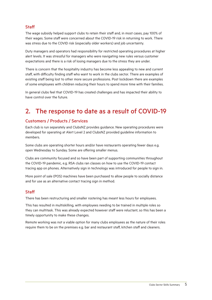### **Staff**

The wage subsidy helped support clubs to retain their staff and, in most cases, pay 100% of their wages. Some staff were concerned about the COVID-19 risk in returning to work. There was stress due to the COVID risk (especially older workers) and job uncertainty.

Duty managers and operators had responsibility for restricted operating procedures at higher alert levels. It was stressful for managers who were navigating new rules versus customer expectations and there is a risk of losing managers due to the stress they are under.

There is concern that the hospitality industry has become less appealing to new and current staff, with difficulty finding staff who want to work in the clubs sector. There are examples of existing staff being lost to other more secure professions. Post lockdown there are examples of some employees with children reducing their hours to spend more time with their families.

In general clubs feel that COVID-19 has created challenges and has impacted their ability to have control over the future.

### 2. The response to date as a result of COVID-19

### Customers / Products / Services

Each club is run separately and ClubsNZ provides guidance. New operating procedures were developed for operating at Alert Level 2 and ClubsNZ provided guideline information to members.

Some clubs are operating shorter hours and/or have restaurants operating fewer days e.g. open Wednesday to Sunday. Some are offering smaller menus.

Clubs are community focused and so have been part of supporting communities throughout the COVID-19 pandemic, e.g. RSA clubs ran classes on how to use the COVID-19 contact tracing app on phones. Alternatively sign in technology was introduced for people to sign in.

More point of sale (POS) machines have been purchased to allow people to socially distance and for use as an alternative contact tracing sign in method.

### **Staff**

There has been restructuring and smaller rostering has meant less hours for employees.

This has resulted in multiskilling, with employees needing to be trained in multiple roles so they can multitask. This was already expected however staff were reluctant, so this has been a timely opportunity to make these changes.

Remote working was not a viable option for many clubs employees as the nature of their roles require them to be on the premises e.g. bar and restaurant staff, kitchen staff and cleaners.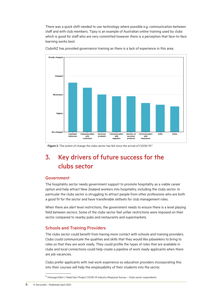There was a quick shift needed to use technology where possible e.g. communication between staff and with club members. Tipsy is an example of Australian online training used by clubs which is good for staff who are very committed however there is a perception that face-to-face learning works best.



ClubsNZ has provided governance training as there is a lack of experience in this area.

Figure 2. The extent of change the clubs sector has felt since the arrival of COVID-19.\*

### 3. Key drivers of future success for the clubs sector

### Government

The hospitality sector needs government support to promote hospitality as a viable career option and help attract New Zealand workers into hospitality, including the clubs sector. In particular the clubs sector is struggling to attract people from other professions who are both a good fit for the sector and have transferable skillsets for club management roles.

When there are alert level restrictions, the government needs to ensure there is a level playing field between sectors. Some of the clubs sector feel unfair restrictions were imposed on their sector compared to nearby pubs and restaurants and supermarkets.

### Schools and Training Providers

The clubs sector could benefit from having more contact with schools and training providers. Clubs could communicate the qualities and skills that they would like jobseekers to bring to roles so that they are work ready. They could profile the types of roles that are available in clubs and local connections could help create a pipeline of work ready applicants when there are job vacancies.

Clubs prefer applicants with real work experience so education providers incorporating this into their courses will help the employability of their students into the sector.

<sup>\*</sup> Hinonga Kōkiri / Head Start Project COVID-19 Industry Response Survey – Clubs sector respondents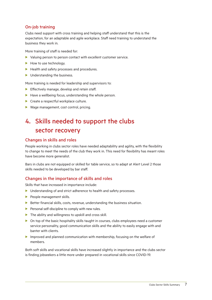### On-job training

Clubs need support with cross training and helping staff understand that this is the expectation, for an adaptable and agile workplace. Staff need training to understand the business they work in.

More training of staff is needed for:

- $\blacktriangleright$  Valuing person to person contact with excellent customer service.
- $\blacktriangleright$  How to use technology.
- $\blacktriangleright$  Health and safety processes and procedures.
- $\blacktriangleright$  Understanding the business.

More training is needed for leadership and supervisors to:

- $\blacktriangleright$  Effectively manage, develop and retain staff.
- $\blacktriangleright$  Have a wellbeing focus, understanding the whole person.
- $\blacktriangleright$  Create a respectful workplace culture.
- $\blacktriangleright$  Wage management, cost control, pricing.

### 4. Skills needed to support the clubs sector recovery

### Changes in skills and roles

People working in clubs sector roles have needed adaptability and agility, with the flexibility to change to meet the needs of the club they work in. This need for flexibility has meant roles have become more generalist.

Bars in clubs are not equipped or skilled for table service, so to adapt at Alert Level 2 those skills needed to be developed by bar staff.

### Changes in the importance of skills and roles

Skills that have increased in importance include:

- $\blacktriangleright$  Understanding of and strict adherence to health and safety processes.
- $\blacktriangleright$  People management skills.
- $\blacktriangleright$  Better financial skills, costs, revenue, understanding the business situation.
- $\blacktriangleright$  Personal self-discipline to comply with new rules.
- $\blacktriangleright$  The ability and willingness to upskill and cross skill.
- $\triangleright$  On top of the basic hospitality skills taught in courses, clubs employees need a customer service personality, good communication skills and the ability to easily engage with and banter with clients.
- $\blacktriangleright$  Improved and planned communication with membership, focusing on the welfare of members.

Both soft skills and vocational skills have increased slightly in importance and the clubs sector is finding jobseekers a little more under prepared in vocational skills since COVID-19.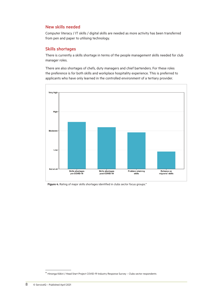### New skills needed

Computer literacy / IT skills / digital skills are needed as more activity has been transferred from pen and paper to utilising technology.

### Skills shortages

There is currently a skills shortage in terms of the people management skills needed for club manager roles.

There are also shortages of chefs, duty managers and chief bartenders. For these roles the preference is for both skills and workplace hospitality experience. This is preferred to applicants who have only learned in the controlled environment of a tertiary provider.



Figure 4. Rating of major skills shortages identified in clubs sector focus groups.<sup>\*</sup>

<sup>\*</sup> Hinonga Kōkiri / Head Start Project COVID-19 Industry Response Survey – Clubs sector respondents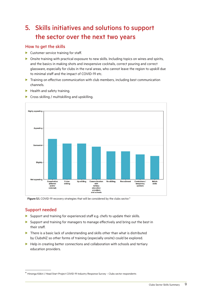### 5. Skills initiatives and solutions to support the sector over the next two years

### How to get the skills

- $\blacktriangleright$  Customer service training for staff.
- $\triangleright$  Onsite training with practical exposure to new skills. Including topics on wines and spirits, and the basics in making shots and inexpensive cocktails, correct pouring and correct glassware, especially for clubs in the rural areas, who cannot leave the region to upskill due to minimal staff and the impact of COVID-19 etc.
- $\blacktriangleright$  Training on effective communication with club members, including best communication channels.
- $\blacktriangleright$  Health and safety training.
- **Highly appealing** Appealing Somewhat Slightly Not appealing Cooperation Up-skilling Communication Re-skilling Recruitment Match<br>skills Cross-<br>skilling Contractors / (internal<br>and/or<br>external) with<br>tertiary<br>education temporary<br>workers providers and schools
- $\triangleright$  Cross skilling / multiskilling and upskilling.

Figure 5.1. COVID-19 recovery strategies that will be considered by the clubs sector.<sup>\*</sup>

### Support needed

- $\blacktriangleright$  Support and training for experienced staff e.g. chefs to update their skills.
- $\blacktriangleright$  Support and training for managers to manage effectively and bring out the best in their staff.
- $\blacktriangleright$  There is a basic lack of understanding and skills other than what is distributed by ClubsNZ so other forms of training (especially onsite) could be explored.
- $\blacktriangleright$  Help in creating better connections and collaboration with schools and tertiary education providers.

<sup>\*</sup> Hinonga Kōkiri / Head Start Project COVID-19 Industry Response Survey – Clubs sector respondents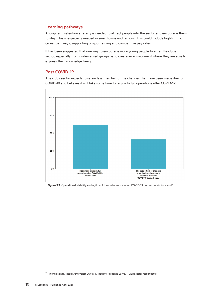#### Learning pathways

A long-term retention strategy is needed to attract people into the sector and encourage them to stay. This is especially needed in small towns and regions. This could include highlighting career pathways, supporting on-job training and competitive pay rates.

It has been suggested that one way to encourage more young people to enter the clubs sector, especially from underserved groups, is to create an environment where they are able to express their knowledge freely.

#### Post COVID-19

The clubs sector expects to retain less than half of the changes that have been made due to COVID-19 and believes it will take some time to return to full operations after COVID-19.



**Figure 5.2.** Operational stability and agility of the clubs sector when COVID-19 border restrictions end.\*

<sup>\*</sup> Hinonga Kōkiri / Head Start Project COVID-19 Industry Response Survey – Clubs sector respondents